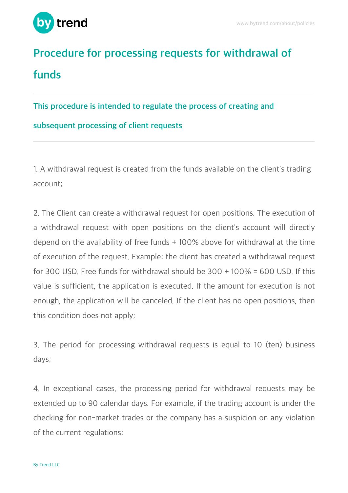

## **Procedure for processing requests for withdrawal of funds**

## **This procedure is intended to regulate the process of creating and**

## **subsequent processing of client requests**

1. A withdrawal request is created from the funds available on the client's trading account;

2. The Client can create a withdrawal request for open positions. The execution of a withdrawal request with open positions on the client's account will directly depend on the availability of free funds + 100% above for withdrawal at the time of execution of the request. Example: the client has created a withdrawal request for 300 USD. Free funds for withdrawal should be  $300 + 100\% = 600$  USD. If this value is sufficient, the application is executed. If the amount for execution is not enough, the application will be canceled. If the client has no open positions, then this condition does not apply;

3. The period for processing withdrawal requests is equal to 10 (ten) business days;

4. In exceptional cases, the processing period for withdrawal requests may be extended up to 90 calendar days. For example, if the trading account is under the checking for non-market trades or the company has a suspicion on any violation of the current regulations;